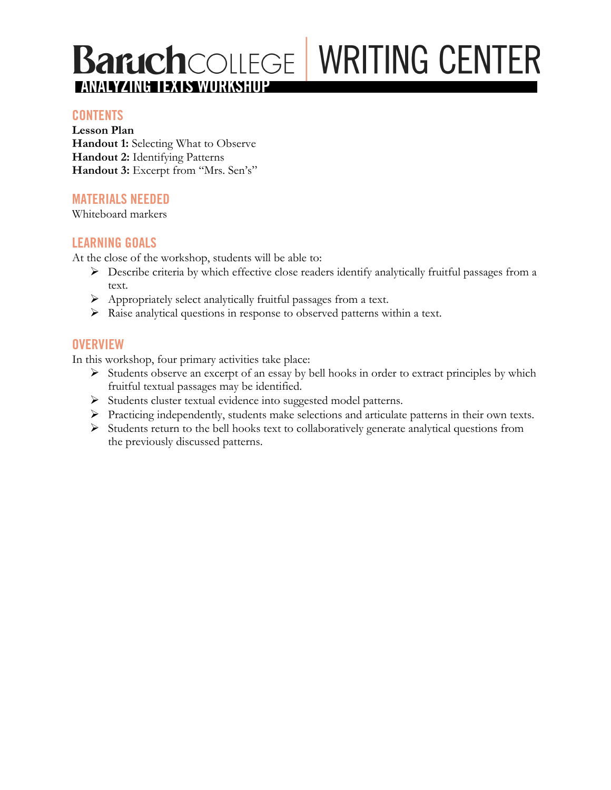# **BaruchCOLLEGE WRITING CENTER ANALYZING TEXTS WORKSHOP**

## **CONTENTS**

**Lesson Plan Handout 1:** Selecting What to Observe **Handout 2:** Identifying Patterns **Handout 3:** Excerpt from "Mrs. Sen's"

# **MATERIALS NEEDED**

Whiteboard markers

# **LEARNING GOALS**

At the close of the workshop, students will be able to:

- Ø Describe criteria by which effective close readers identify analytically fruitful passages from a text.
- $\triangleright$  Appropriately select analytically fruitful passages from a text.
- $\triangleright$  Raise analytical questions in response to observed patterns within a text.

### **OVERVIEW**

In this workshop, four primary activities take place:

- Ø Students observe an excerpt of an essay by bell hooks in order to extract principles by which fruitful textual passages may be identified.
- Ø Students cluster textual evidence into suggested model patterns.
- Ø Practicing independently, students make selections and articulate patterns in their own texts.
- Ø Students return to the bell hooks text to collaboratively generate analytical questions from the previously discussed patterns.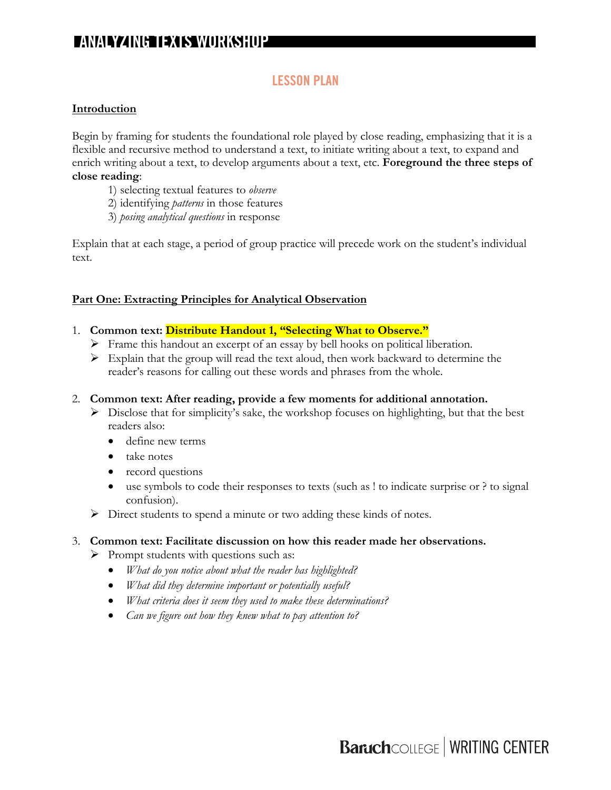# **LESSON PLAN**

#### **Introduction**

Begin by framing for students the foundational role played by close reading, emphasizing that it is a flexible and recursive method to understand a text, to initiate writing about a text, to expand and enrich writing about a text, to develop arguments about a text, etc. **Foreground the three steps of close reading**:

- 1) selecting textual features to *observe*
- 2) identifying *patterns* in those features
- 3) *posing analytical questions* in response

Explain that at each stage, a period of group practice will precede work on the student's individual text.

#### **Part One: Extracting Principles for Analytical Observation**

- 1. **Common text: Distribute Handout 1, "Selecting What to Observe."**
	- $\triangleright$  Frame this handout an excerpt of an essay by bell hooks on political liberation.
	- $\triangleright$  Explain that the group will read the text aloud, then work backward to determine the reader's reasons for calling out these words and phrases from the whole.

#### 2. **Common text: After reading, provide a few moments for additional annotation.**

- $\triangleright$  Disclose that for simplicity's sake, the workshop focuses on highlighting, but that the best readers also:
	- define new terms
	- take notes
	- record questions
	- use symbols to code their responses to texts (such as ! to indicate surprise or ? to signal confusion).
- $\triangleright$  Direct students to spend a minute or two adding these kinds of notes.

#### 3. **Common text: Facilitate discussion on how this reader made her observations.**

- $\triangleright$  Prompt students with questions such as:
	- *What do you notice about what the reader has highlighted?*
	- *What did they determine important or potentially useful?*
	- *What criteria does it seem they used to make these determinations?*
	- *Can we figure out how they knew what to pay attention to?*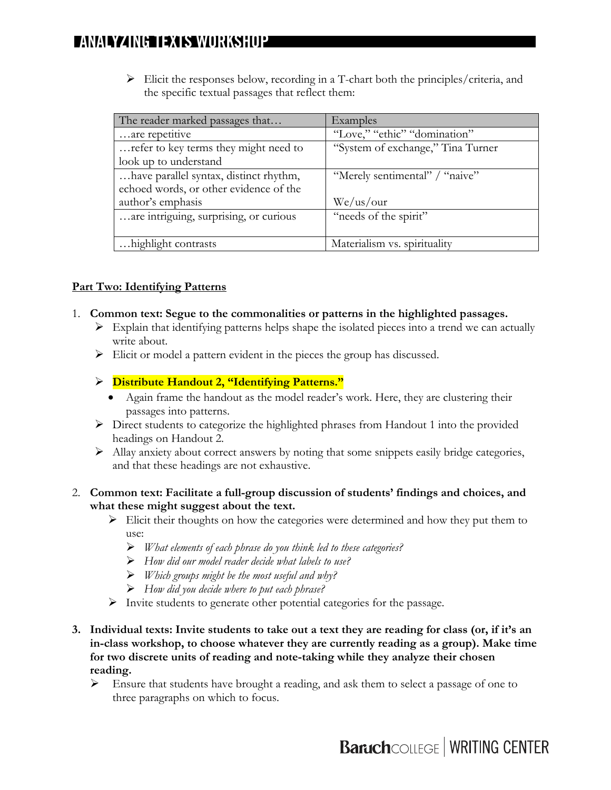$\triangleright$  Elicit the responses below, recording in a T-chart both the principles/criteria, and the specific textual passages that reflect them:

| The reader marked passages that        | Examples                          |
|----------------------------------------|-----------------------------------|
| are repetitive                         | "Love," "ethic" "domination"      |
| refer to key terms they might need to  | "System of exchange," Tina Turner |
| look up to understand                  |                                   |
| have parallel syntax, distinct rhythm, | "Merely sentimental" / "naive"    |
| echoed words, or other evidence of the |                                   |
| author's emphasis                      | We/us/our                         |
| are intriguing, surprising, or curious | "needs of the spirit"             |
|                                        |                                   |
| highlight contrasts                    | Materialism vs. spirituality      |

#### **Part Two: Identifying Patterns**

- 1. **Common text: Segue to the commonalities or patterns in the highlighted passages.**
	- $\triangleright$  Explain that identifying patterns helps shape the isolated pieces into a trend we can actually write about.
	- $\triangleright$  Elicit or model a pattern evident in the pieces the group has discussed.

#### Ø **Distribute Handout 2, "Identifying Patterns."**

- Again frame the handout as the model reader's work. Here, they are clustering their passages into patterns.
- Ø Direct students to categorize the highlighted phrases from Handout 1 into the provided headings on Handout 2.
- $\triangleright$  Allay anxiety about correct answers by noting that some snippets easily bridge categories, and that these headings are not exhaustive.

#### 2. **Common text: Facilitate a full-group discussion of students' findings and choices, and what these might suggest about the text.**

- $\triangleright$  Elicit their thoughts on how the categories were determined and how they put them to use:
	- Ø *What elements of each phrase do you think led to these categories?*
	- Ø *How did our model reader decide what labels to use?*
	- Ø *Which groups might be the most useful and why?*
	- Ø *How did you decide where to put each phrase?*
- $\triangleright$  Invite students to generate other potential categories for the passage.
- **3. Individual texts: Invite students to take out a text they are reading for class (or, if it's an in-class workshop, to choose whatever they are currently reading as a group). Make time for two discrete units of reading and note-taking while they analyze their chosen reading.**
	- $\triangleright$  Ensure that students have brought a reading, and ask them to select a passage of one to three paragraphs on which to focus.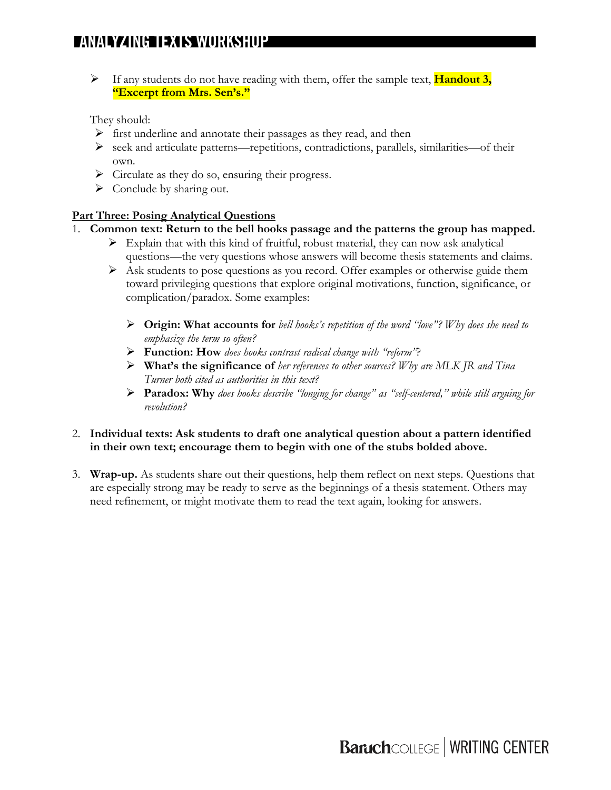$\triangleright$  If any students do not have reading with them, offer the sample text, **Handout 3, "Excerpt from Mrs. Sen's."**

They should:

- $\triangleright$  first underline and annotate their passages as they read, and then
- $\triangleright$  seek and articulate patterns—repetitions, contradictions, parallels, similarities—of their own.
- $\triangleright$  Circulate as they do so, ensuring their progress.
- $\triangleright$  Conclude by sharing out.

#### **Part Three: Posing Analytical Questions**

- 1. **Common text: Return to the bell hooks passage and the patterns the group has mapped.**
	- $\triangleright$  Explain that with this kind of fruitful, robust material, they can now ask analytical questions—the very questions whose answers will become thesis statements and claims.
	- $\triangleright$  Ask students to pose questions as you record. Offer examples or otherwise guide them toward privileging questions that explore original motivations, function, significance, or complication/paradox. Some examples:
		- Ø **Origin: What accounts for** *bell hooks's repetition of the word "love"? Why does she need to emphasize the term so often?*
		- Ø **Function: How** *does hooks contrast radical change with "reform"*?
		- Ø **What's the significance of** *her references to other sources? Why are MLK JR and Tina Turner both cited as authorities in this text?*
		- Ø **Paradox: Why** *does hooks describe "longing for change" as "self-centered," while still arguing for revolution?*
- 2. **Individual texts: Ask students to draft one analytical question about a pattern identified in their own text; encourage them to begin with one of the stubs bolded above.**
- 3. **Wrap-up.** As students share out their questions, help them reflect on next steps. Questions that are especially strong may be ready to serve as the beginnings of a thesis statement. Others may need refinement, or might motivate them to read the text again, looking for answers.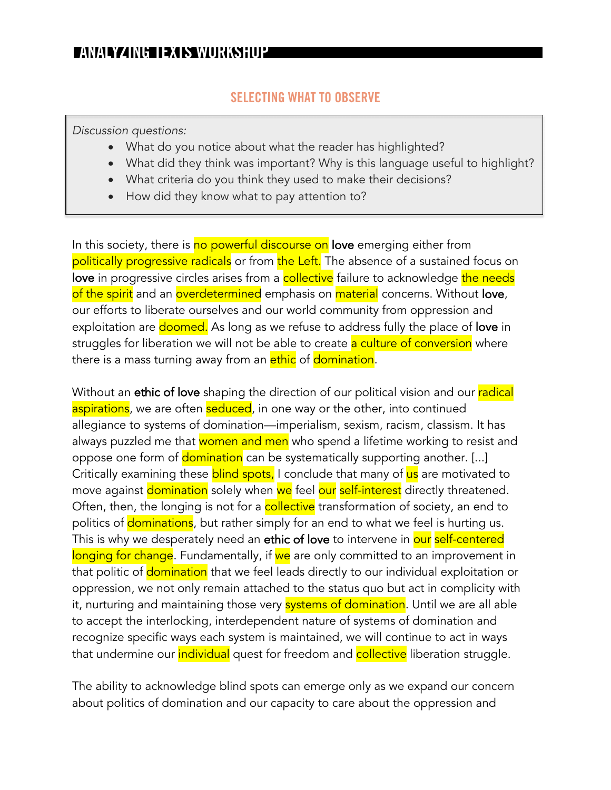# **ANALYZING TEXTS WORKSHOP** <sup>z</sup>

## **SELECTING WHAT TO OBSERVE**

*Discussion questions:*

 $\overline{a}$ 

- What do you notice about what the reader has highlighted?
- What did they think was important? Why is this language useful to highlight?
- What criteria do you think they used to make their decisions?
- How did they know what to pay attention to?

In this society, there is no powerful discourse on love emerging either from politically progressive radicals or from the Left. The absence of a sustained focus on love in progressive circles arises from a collective failure to acknowledge the needs of the spirit and an overdetermined emphasis on material concerns. Without love, our efforts to liberate ourselves and our world community from oppression and exploitation are doomed. As long as we refuse to address fully the place of love in struggles for liberation we will not be able to create a culture of conversion where there is a mass turning away from an ethic of domination.

Without an ethic of love shaping the direction of our political vision and our radical aspirations, we are often seduced, in one way or the other, into continued allegiance to systems of domination—imperialism, sexism, racism, classism. It has always puzzled me that women and men who spend a lifetime working to resist and oppose one form of domination can be systematically supporting another. [...] Critically examining these **blind spots**, I conclude that many of us are motivated to move against domination solely when we feel our self-interest directly threatened. Often, then, the longing is not for a **collective** transformation of society, an end to politics of dominations, but rather simply for an end to what we feel is hurting us. This is why we desperately need an ethic of love to intervene in our self-centered longing for change. Fundamentally, if we are only committed to an improvement in that politic of domination that we feel leads directly to our individual exploitation or oppression, we not only remain attached to the status quo but act in complicity with it, nurturing and maintaining those very **systems of domination**. Until we are all able to accept the interlocking, interdependent nature of systems of domination and recognize specific ways each system is maintained, we will continue to act in ways that undermine our *individual* quest for freedom and **collective** liberation struggle.

The ability to acknowledge blind spots can emerge only as we expand our concern about politics of domination and our capacity to care about the oppression and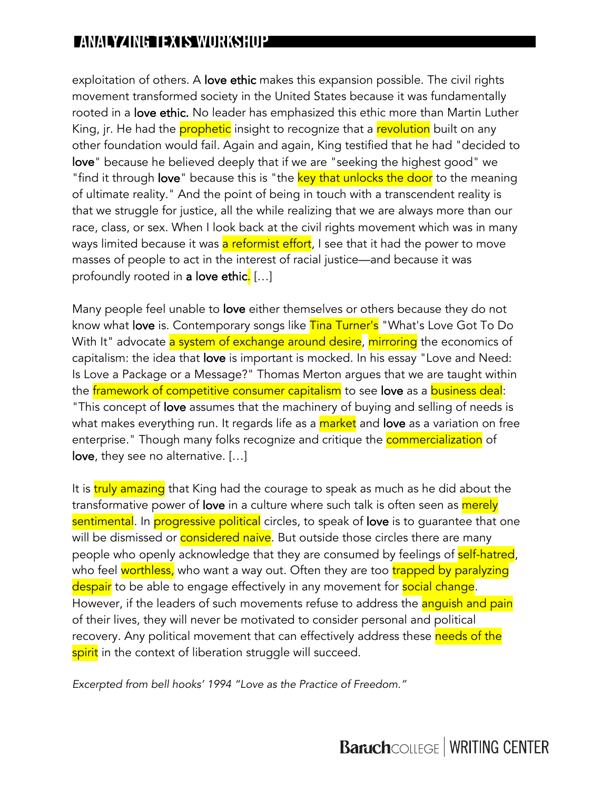# **ANALYZING TEXTS WORKSHOP**

**[NAME] WORKSHOP** exploitation of others. A love ethic makes this expansion possible. The civil rights movement transformed society in the United States because it was fundamentally rooted in a love ethic. No leader has emphasized this ethic more than Martin Luther King, jr. He had the **prophetic** insight to recognize that a revolution built on any other foundation would fail. Again and again, King testified that he had "decided to love" because he believed deeply that if we are "seeking the highest good" we "find it through love" because this is "the key that unlocks the door to the meaning of ultimate reality." And the point of being in touch with a transcendent reality is that we struggle for justice, all the while realizing that we are always more than our race, class, or sex. When I look back at the civil rights movement which was in many ways limited because it was a reformist effort, I see that it had the power to move masses of people to act in the interest of racial justice—and because it was profoundly rooted in a love ethic. [...]

Many people feel unable to love either themselves or others because they do not know what love is. Contemporary songs like Tina Turner's "What's Love Got To Do With It" advocate a system of exchange around desire, mirroring the economics of capitalism: the idea that love is important is mocked. In his essay "Love and Need: Is Love a Package or a Message?" Thomas Merton argues that we are taught within the framework of competitive consumer capitalism to see love as a business deal: "This concept of love assumes that the machinery of buying and selling of needs is what makes everything run. It regards life as a market and love as a variation on free enterprise." Though many folks recognize and critique the **commercialization** of love, they see no alternative. […]

It is truly amazing that King had the courage to speak as much as he did about the transformative power of love in a culture where such talk is often seen as merely sentimental. In progressive political circles, to speak of love is to quarantee that one will be dismissed or **considered naive**. But outside those circles there are many people who openly acknowledge that they are consumed by feelings of self-hatred, who feel worthless, who want a way out. Often they are too trapped by paralyzing despair to be able to engage effectively in any movement for social change. However, if the leaders of such movements refuse to address the anguish and pain of their lives, they will never be motivated to consider personal and political recovery. Any political movement that can effectively address these needs of the spirit in the context of liberation struggle will succeed.

*Excerpted from bell hooks' 1994 "Love as the Practice of Freedom."*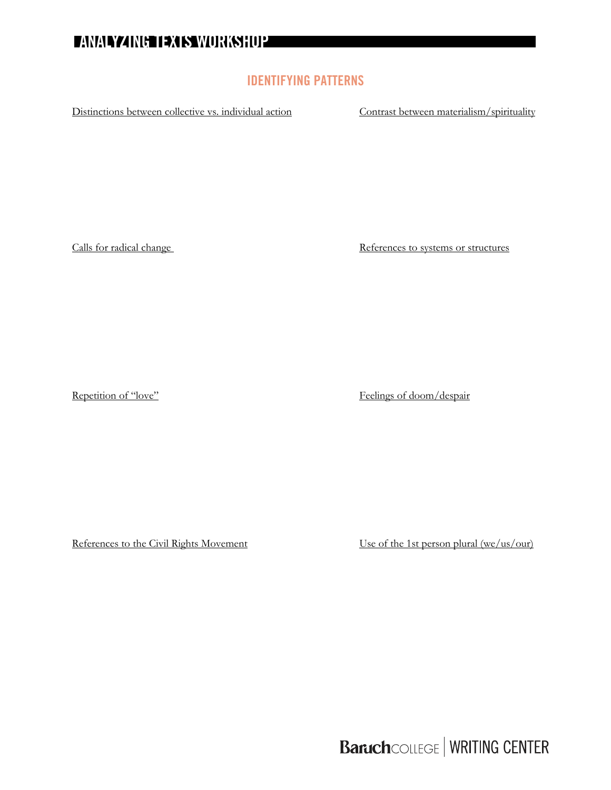# **ANALYZING TEXTS WORKSHOP**

# **IDENTIFYING PATTERNS**

Distinctions between collective vs. individual action Contrast between materialism/spirituality

Calls for radical change References to systems or structures

Repetition of "love" Feelings of doom/despair

References to the Civil Rights Movement Use of the 1st person plural (we/us/our)

**Baruch**COLLEGE | WRITING CENTER